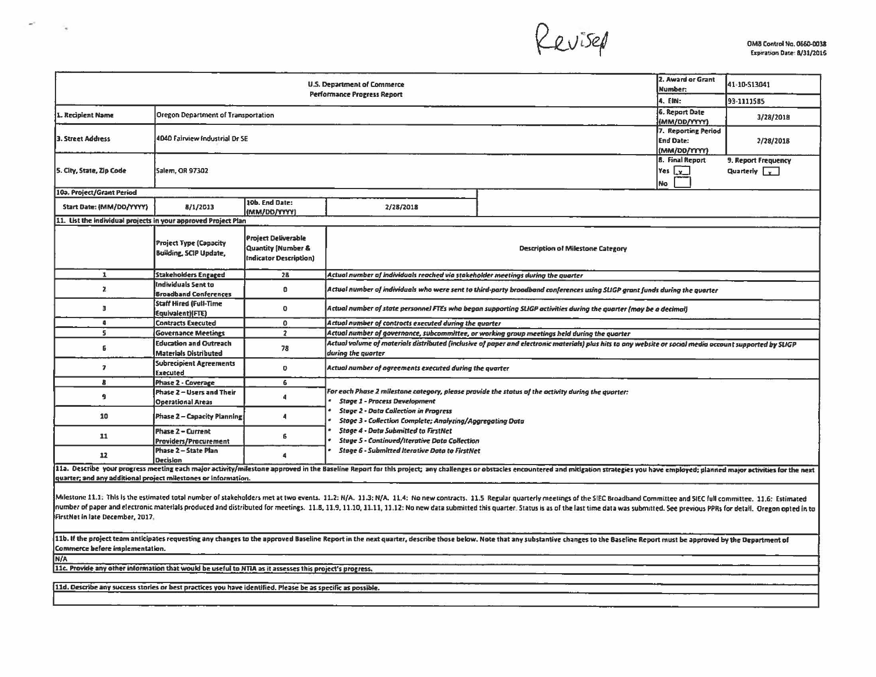RUISEA

|                                                                | 2. Award or Grant<br>Number:                                   | 41-10-S13041                                                               |                                                                                                                                                                                |                                              |                                             |  |  |  |  |  |  |
|----------------------------------------------------------------|----------------------------------------------------------------|----------------------------------------------------------------------------|--------------------------------------------------------------------------------------------------------------------------------------------------------------------------------|----------------------------------------------|---------------------------------------------|--|--|--|--|--|--|
|                                                                | 4. EIN:                                                        | 93-1111585                                                                 |                                                                                                                                                                                |                                              |                                             |  |  |  |  |  |  |
| . Recipient Name                                               | <b>Oregon Department of Transportation</b>                     | 6. Report Date<br>(MM/DD/YYYY)                                             | 3/28/2018                                                                                                                                                                      |                                              |                                             |  |  |  |  |  |  |
| <b>3. Street Address</b>                                       | 4040 Fairview Industrial Dr SE                                 | 7. Reporting Period<br><b>End Date:</b><br>(MM/DD/YYYY)                    | 2/28/201B                                                                                                                                                                      |                                              |                                             |  |  |  |  |  |  |
| 5. City, State, Zip Code                                       | Salem, OR 97302                                                |                                                                            |                                                                                                                                                                                | <b>8. Final Report</b><br>Yes y<br><b>No</b> | 9. Report Frequency<br>Quarterly $\sqrt{v}$ |  |  |  |  |  |  |
| 10a. Project/Grant Period                                      |                                                                |                                                                            |                                                                                                                                                                                |                                              |                                             |  |  |  |  |  |  |
| Start Date: (MM/DD/YYYY)                                       | 8/1/2013                                                       | 10b. End Date:<br>(MM/DD/YYYY)                                             | 2/28/2018                                                                                                                                                                      |                                              |                                             |  |  |  |  |  |  |
| 11. List the individual projects in your approved Project Plan |                                                                |                                                                            |                                                                                                                                                                                |                                              |                                             |  |  |  |  |  |  |
|                                                                | <b>Project Type (Capacity</b><br><b>Building, SCIP Update,</b> | <b>Project Deliverable</b><br>Quantity [Number &<br>Indicator Description) |                                                                                                                                                                                | <b>Description of Milestone Category</b>     |                                             |  |  |  |  |  |  |
| $\mathbf{1}$                                                   | <b>Stakeholders Engaged</b>                                    | 28                                                                         | Actual number of individuals reached via stakeholder meetings during the quarter                                                                                               |                                              |                                             |  |  |  |  |  |  |
| $\mathbf{z}$                                                   | Individuals Sent to<br><b>Broadband Conferences</b>            | 0                                                                          | Actual number of individuals who were sent to third-party broadband conferences using SUGP grant funds during the quarter                                                      |                                              |                                             |  |  |  |  |  |  |
| $\overline{\mathbf{3}}$                                        | Staff Hired (Full-Time<br>Equivalent)(FTE)                     | $\mathbf 0$                                                                | Actual number of state personnel FTEs who began supporting SLIGP activities during the quarter (may be a decimal)                                                              |                                              |                                             |  |  |  |  |  |  |
| ą                                                              | <b>Contracts Executed</b>                                      | $\mathbf 0$                                                                | Actual number of contracts executed during the quarter                                                                                                                         |                                              |                                             |  |  |  |  |  |  |
| s.                                                             | <b>Governance Meetings</b>                                     | $\overline{2}$                                                             | Actual number of governance, subcommittee, or working group meetings held during the quarter                                                                                   |                                              |                                             |  |  |  |  |  |  |
| 6                                                              | <b>Education and Outreach</b><br><b>Materials Distributed</b>  | 78                                                                         | Actual volume of materials distributed (inclusive of paper and electronic materials) plus hits to any website or social media account supported by SLIGP<br>during the quarter |                                              |                                             |  |  |  |  |  |  |
| $\overline{\mathbf{z}}$                                        | <b>Subrecipient Agreements</b><br>Executed                     | $\mathbf 0$                                                                | Actual number of agreements executed during the quarter                                                                                                                        |                                              |                                             |  |  |  |  |  |  |
| $\mathbf{B}$                                                   | Phase 2 - Coverage                                             | 6                                                                          |                                                                                                                                                                                |                                              |                                             |  |  |  |  |  |  |
| 9                                                              | Phase 2 - Users and Their<br><b>Operational Areas</b>          | 4                                                                          | For each Phase 2 milestane category, please provide the status of the activity during the quarter:<br><b>Stage 1 - Process Development</b>                                     |                                              |                                             |  |  |  |  |  |  |
| 10                                                             | Phase 2 - Capacity Planning                                    | 4                                                                          | <b>Stage 2 - Data Collection in Progress</b><br>Stage 3 - Collection Complete; Analyzing/Aggregating Data                                                                      |                                              |                                             |  |  |  |  |  |  |
| 11                                                             | <b>Phase 2 - Current</b><br>Providers/Procurement              | 6                                                                          | <b>Stage 4 - Data Submitted to FirstNet</b><br><b>Stage 5 - Continued/Iterative Data Collection</b><br><b>Stage 6 - Submitted Iterative Data to FirstNet</b>                   |                                              |                                             |  |  |  |  |  |  |
| 12                                                             | Phase 2 - State Plan<br><b>Decision</b>                        | $\mathbf{a}$                                                               |                                                                                                                                                                                |                                              |                                             |  |  |  |  |  |  |

11a. Describe your progress meeting each major activity/milestone approved in the Baseline Report for this project; any challenges or obstacles encountered and mitigation strategies you have employed; planned major activit quarter; and any additional project milestones or information.

Milestone 11.1: This is the estimated total number of stakeholders met at two events. 11.2: N/A. 11.3: N/A. 11.4: No new contracts. 11.5 Regular quarterly meetings of the SIEC Broadband Committee and SIEC full committee. 1 Inumber of paper and electronic materials produced and distributed for meetings. 11.8, 11.9, 11.10, 11.11, 11.12; No new data submitted this quarter. Status is as of the last time data was submitted. See previous PPRs for FirstNet in late December, 2017.

11b. If the project team anticipates requesting any changes to the approved Baseline Report in the next quarter, describe those below. Note that any substantive changes to the Baseline Report must be approved by the Depart Commerce before implementation.

N/A

 $\mathbf{M}^{\mathrm{eff}}$ 

 $\sim$ 

11c. Provide any other information that would be useful to NTIA as it assesses this project's progress.

[11d. Describe any success stories or best practices you have identified. Please be as specific as possible.